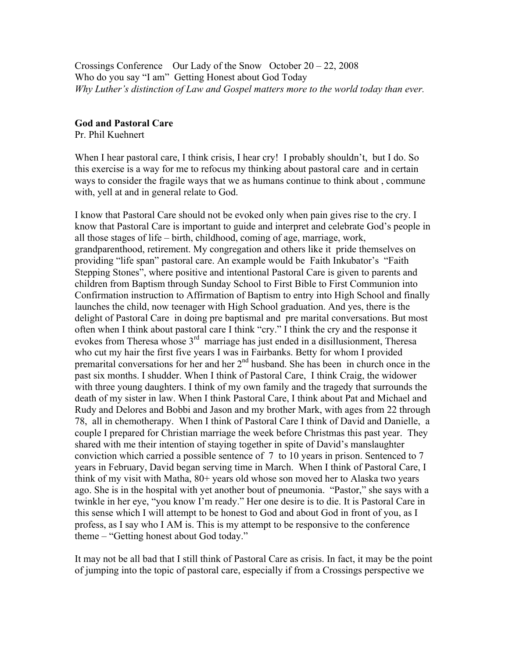Crossings Conference Our Lady of the Snow October 20 – 22, 2008 Who do you say "I am" Getting Honest about God Today *Why Luther's distinction of Law and Gospel matters more to the world today than ever.* 

## **God and Pastoral Care**

Pr. Phil Kuehnert

When I hear pastoral care, I think crisis, I hear cry! I probably shouldn't, but I do. So this exercise is a way for me to refocus my thinking about pastoral care and in certain ways to consider the fragile ways that we as humans continue to think about , commune with, yell at and in general relate to God.

I know that Pastoral Care should not be evoked only when pain gives rise to the cry. I know that Pastoral Care is important to guide and interpret and celebrate God's people in all those stages of life – birth, childhood, coming of age, marriage, work, grandparenthood, retirement. My congregation and others like it pride themselves on providing "life span" pastoral care. An example would be Faith Inkubator's "Faith Stepping Stones", where positive and intentional Pastoral Care is given to parents and children from Baptism through Sunday School to First Bible to First Communion into Confirmation instruction to Affirmation of Baptism to entry into High School and finally launches the child, now teenager with High School graduation. And yes, there is the delight of Pastoral Care in doing pre baptismal and pre marital conversations. But most often when I think about pastoral care I think "cry." I think the cry and the response it evokes from Theresa whose 3rd marriage has just ended in a disillusionment, Theresa who cut my hair the first five years I was in Fairbanks. Betty for whom I provided premarital conversations for her and her  $2<sup>nd</sup>$  husband. She has been in church once in the past six months. I shudder. When I think of Pastoral Care, I think Craig, the widower with three young daughters. I think of my own family and the tragedy that surrounds the death of my sister in law. When I think Pastoral Care, I think about Pat and Michael and Rudy and Delores and Bobbi and Jason and my brother Mark, with ages from 22 through 78, all in chemotherapy. When I think of Pastoral Care I think of David and Danielle, a couple I prepared for Christian marriage the week before Christmas this past year. They shared with me their intention of staying together in spite of David's manslaughter conviction which carried a possible sentence of 7 to 10 years in prison. Sentenced to 7 years in February, David began serving time in March. When I think of Pastoral Care, I think of my visit with Matha, 80+ years old whose son moved her to Alaska two years ago. She is in the hospital with yet another bout of pneumonia. "Pastor," she says with a twinkle in her eye, "you know I'm ready." Her one desire is to die. It is Pastoral Care in this sense which I will attempt to be honest to God and about God in front of you, as I profess, as I say who I AM is. This is my attempt to be responsive to the conference theme – "Getting honest about God today."

It may not be all bad that I still think of Pastoral Care as crisis. In fact, it may be the point of jumping into the topic of pastoral care, especially if from a Crossings perspective we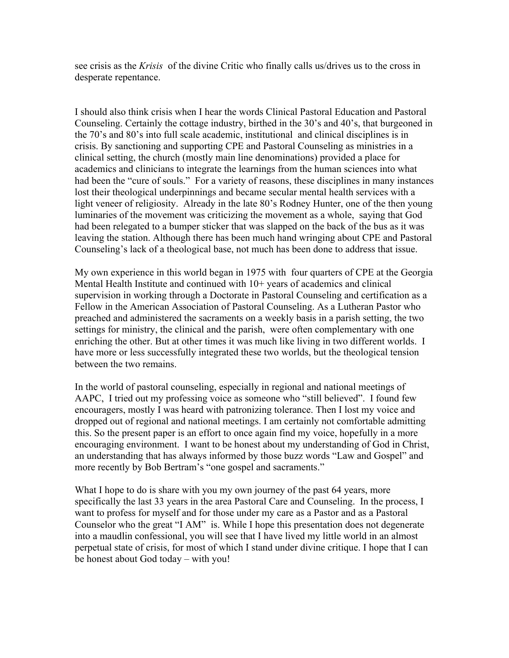see crisis as the *Krisis* of the divine Critic who finally calls us/drives us to the cross in desperate repentance.

I should also think crisis when I hear the words Clinical Pastoral Education and Pastoral Counseling. Certainly the cottage industry, birthed in the 30's and 40's, that burgeoned in the 70's and 80's into full scale academic, institutional and clinical disciplines is in crisis. By sanctioning and supporting CPE and Pastoral Counseling as ministries in a clinical setting, the church (mostly main line denominations) provided a place for academics and clinicians to integrate the learnings from the human sciences into what had been the "cure of souls." For a variety of reasons, these disciplines in many instances lost their theological underpinnings and became secular mental health services with a light veneer of religiosity. Already in the late 80's Rodney Hunter, one of the then young luminaries of the movement was criticizing the movement as a whole, saying that God had been relegated to a bumper sticker that was slapped on the back of the bus as it was leaving the station. Although there has been much hand wringing about CPE and Pastoral Counseling's lack of a theological base, not much has been done to address that issue.

My own experience in this world began in 1975 with four quarters of CPE at the Georgia Mental Health Institute and continued with 10+ years of academics and clinical supervision in working through a Doctorate in Pastoral Counseling and certification as a Fellow in the American Association of Pastoral Counseling. As a Lutheran Pastor who preached and administered the sacraments on a weekly basis in a parish setting, the two settings for ministry, the clinical and the parish, were often complementary with one enriching the other. But at other times it was much like living in two different worlds. I have more or less successfully integrated these two worlds, but the theological tension between the two remains.

In the world of pastoral counseling, especially in regional and national meetings of AAPC, I tried out my professing voice as someone who "still believed". I found few encouragers, mostly I was heard with patronizing tolerance. Then I lost my voice and dropped out of regional and national meetings. I am certainly not comfortable admitting this. So the present paper is an effort to once again find my voice, hopefully in a more encouraging environment. I want to be honest about my understanding of God in Christ, an understanding that has always informed by those buzz words "Law and Gospel" and more recently by Bob Bertram's "one gospel and sacraments."

What I hope to do is share with you my own journey of the past 64 years, more specifically the last 33 years in the area Pastoral Care and Counseling. In the process, I want to profess for myself and for those under my care as a Pastor and as a Pastoral Counselor who the great "I AM" is. While I hope this presentation does not degenerate into a maudlin confessional, you will see that I have lived my little world in an almost perpetual state of crisis, for most of which I stand under divine critique. I hope that I can be honest about God today – with you!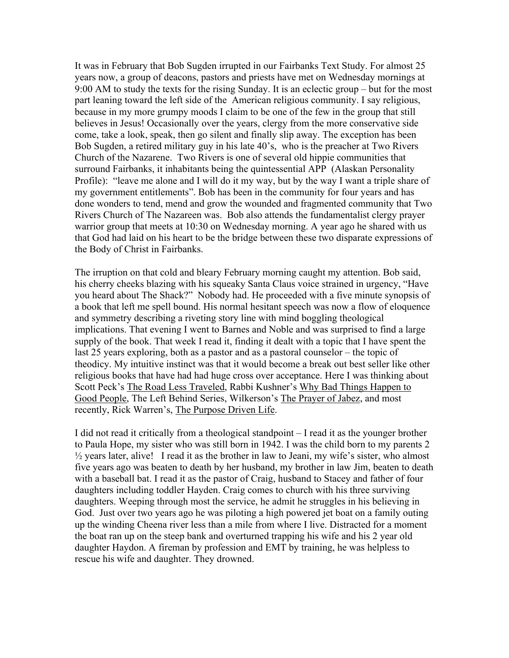It was in February that Bob Sugden irrupted in our Fairbanks Text Study. For almost 25 years now, a group of deacons, pastors and priests have met on Wednesday mornings at 9:00 AM to study the texts for the rising Sunday. It is an eclectic group – but for the most part leaning toward the left side of the American religious community. I say religious, because in my more grumpy moods I claim to be one of the few in the group that still believes in Jesus! Occasionally over the years, clergy from the more conservative side come, take a look, speak, then go silent and finally slip away. The exception has been Bob Sugden, a retired military guy in his late 40's, who is the preacher at Two Rivers Church of the Nazarene. Two Rivers is one of several old hippie communities that surround Fairbanks, it inhabitants being the quintessential APP (Alaskan Personality Profile): "leave me alone and I will do it my way, but by the way I want a triple share of my government entitlements". Bob has been in the community for four years and has done wonders to tend, mend and grow the wounded and fragmented community that Two Rivers Church of The Nazareen was. Bob also attends the fundamentalist clergy prayer warrior group that meets at 10:30 on Wednesday morning. A year ago he shared with us that God had laid on his heart to be the bridge between these two disparate expressions of the Body of Christ in Fairbanks.

The irruption on that cold and bleary February morning caught my attention. Bob said, his cherry cheeks blazing with his squeaky Santa Claus voice strained in urgency, "Have you heard about The Shack?" Nobody had. He proceeded with a five minute synopsis of a book that left me spell bound. His normal hesitant speech was now a flow of eloquence and symmetry describing a riveting story line with mind boggling theological implications. That evening I went to Barnes and Noble and was surprised to find a large supply of the book. That week I read it, finding it dealt with a topic that I have spent the last 25 years exploring, both as a pastor and as a pastoral counselor – the topic of theodicy. My intuitive instinct was that it would become a break out best seller like other religious books that have had had huge cross over acceptance. Here I was thinking about Scott Peck's The Road Less Traveled, Rabbi Kushner's Why Bad Things Happen to Good People, The Left Behind Series, Wilkerson's The Prayer of Jabez, and most recently, Rick Warren's, The Purpose Driven Life.

I did not read it critically from a theological standpoint – I read it as the younger brother to Paula Hope, my sister who was still born in 1942. I was the child born to my parents 2  $\frac{1}{2}$  years later, alive! I read it as the brother in law to Jeani, my wife's sister, who almost five years ago was beaten to death by her husband, my brother in law Jim, beaten to death with a baseball bat. I read it as the pastor of Craig, husband to Stacey and father of four daughters including toddler Hayden. Craig comes to church with his three surviving daughters. Weeping through most the service, he admit he struggles in his believing in God. Just over two years ago he was piloting a high powered jet boat on a family outing up the winding Cheena river less than a mile from where I live. Distracted for a moment the boat ran up on the steep bank and overturned trapping his wife and his 2 year old daughter Haydon. A fireman by profession and EMT by training, he was helpless to rescue his wife and daughter. They drowned.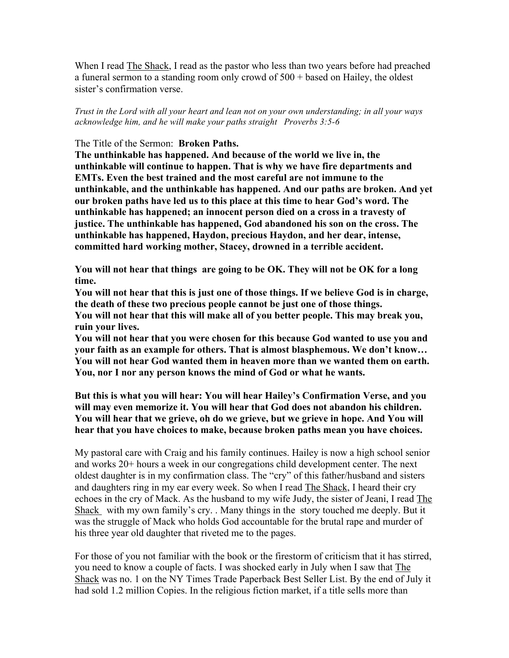When I read The Shack, I read as the pastor who less than two years before had preached a funeral sermon to a standing room only crowd of 500 + based on Hailey, the oldest sister's confirmation verse.

*Trust in the Lord with all your heart and lean not on your own understanding; in all your ways acknowledge him, and he will make your paths straight Proverbs 3:5-6*

### The Title of the Sermon: **Broken Paths.**

**The unthinkable has happened. And because of the world we live in, the unthinkable will continue to happen. That is why we have fire departments and EMTs. Even the best trained and the most careful are not immune to the unthinkable, and the unthinkable has happened. And our paths are broken. And yet our broken paths have led us to this place at this time to hear God's word. The unthinkable has happened; an innocent person died on a cross in a travesty of justice. The unthinkable has happened, God abandoned his son on the cross. The unthinkable has happened, Haydon, precious Haydon, and her dear, intense, committed hard working mother, Stacey, drowned in a terrible accident.** 

**You will not hear that things are going to be OK. They will not be OK for a long time.**

**You will not hear that this is just one of those things. If we believe God is in charge, the death of these two precious people cannot be just one of those things.**

**You will not hear that this will make all of you better people. This may break you, ruin your lives.** 

**You will not hear that you were chosen for this because God wanted to use you and your faith as an example for others. That is almost blasphemous. We don't know… You will not hear God wanted them in heaven more than we wanted them on earth. You, nor I nor any person knows the mind of God or what he wants.** 

**But this is what you will hear: You will hear Hailey's Confirmation Verse, and you will may even memorize it. You will hear that God does not abandon his children. You will hear that we grieve, oh do we grieve, but we grieve in hope. And You will hear that you have choices to make, because broken paths mean you have choices.**

My pastoral care with Craig and his family continues. Hailey is now a high school senior and works 20+ hours a week in our congregations child development center. The next oldest daughter is in my confirmation class. The "cry" of this father/husband and sisters and daughters ring in my ear every week. So when I read The Shack, I heard their cry echoes in the cry of Mack. As the husband to my wife Judy, the sister of Jeani, I read The Shack with my own family's cry. . Many things in the story touched me deeply. But it was the struggle of Mack who holds God accountable for the brutal rape and murder of his three year old daughter that riveted me to the pages.

For those of you not familiar with the book or the firestorm of criticism that it has stirred, you need to know a couple of facts. I was shocked early in July when I saw that The Shack was no. 1 on the NY Times Trade Paperback Best Seller List. By the end of July it had sold 1.2 million Copies. In the religious fiction market, if a title sells more than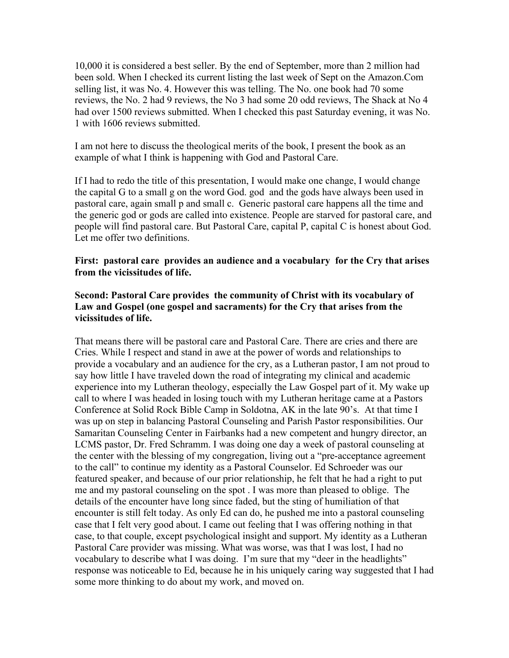10,000 it is considered a best seller. By the end of September, more than 2 million had been sold. When I checked its current listing the last week of Sept on the Amazon.Com selling list, it was No. 4. However this was telling. The No. one book had 70 some reviews, the No. 2 had 9 reviews, the No 3 had some 20 odd reviews, The Shack at No 4 had over 1500 reviews submitted. When I checked this past Saturday evening, it was No. 1 with 1606 reviews submitted.

I am not here to discuss the theological merits of the book, I present the book as an example of what I think is happening with God and Pastoral Care.

If I had to redo the title of this presentation, I would make one change, I would change the capital G to a small g on the word God. god and the gods have always been used in pastoral care, again small p and small c. Generic pastoral care happens all the time and the generic god or gods are called into existence. People are starved for pastoral care, and people will find pastoral care. But Pastoral Care, capital P, capital C is honest about God. Let me offer two definitions.

**First: pastoral care provides an audience and a vocabulary for the Cry that arises from the vicissitudes of life.**

# **Second: Pastoral Care provides the community of Christ with its vocabulary of Law and Gospel (one gospel and sacraments) for the Cry that arises from the vicissitudes of life.**

That means there will be pastoral care and Pastoral Care. There are cries and there are Cries. While I respect and stand in awe at the power of words and relationships to provide a vocabulary and an audience for the cry, as a Lutheran pastor, I am not proud to say how little I have traveled down the road of integrating my clinical and academic experience into my Lutheran theology, especially the Law Gospel part of it. My wake up call to where I was headed in losing touch with my Lutheran heritage came at a Pastors Conference at Solid Rock Bible Camp in Soldotna, AK in the late 90's. At that time I was up on step in balancing Pastoral Counseling and Parish Pastor responsibilities. Our Samaritan Counseling Center in Fairbanks had a new competent and hungry director, an LCMS pastor, Dr. Fred Schramm. I was doing one day a week of pastoral counseling at the center with the blessing of my congregation, living out a "pre-acceptance agreement to the call" to continue my identity as a Pastoral Counselor. Ed Schroeder was our featured speaker, and because of our prior relationship, he felt that he had a right to put me and my pastoral counseling on the spot . I was more than pleased to oblige. The details of the encounter have long since faded, but the sting of humiliation of that encounter is still felt today. As only Ed can do, he pushed me into a pastoral counseling case that I felt very good about. I came out feeling that I was offering nothing in that case, to that couple, except psychological insight and support. My identity as a Lutheran Pastoral Care provider was missing. What was worse, was that I was lost, I had no vocabulary to describe what I was doing. I'm sure that my "deer in the headlights" response was noticeable to Ed, because he in his uniquely caring way suggested that I had some more thinking to do about my work, and moved on.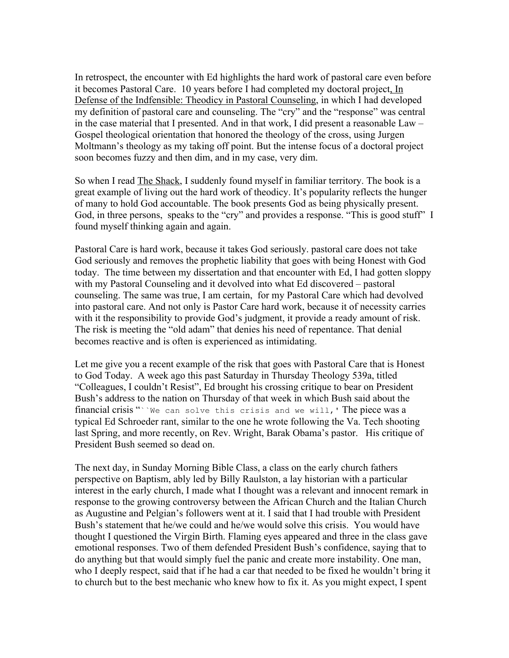In retrospect, the encounter with Ed highlights the hard work of pastoral care even before it becomes Pastoral Care. 10 years before I had completed my doctoral project, In Defense of the Indfensible: Theodicy in Pastoral Counseling, in which I had developed my definition of pastoral care and counseling. The "cry" and the "response" was central in the case material that I presented. And in that work, I did present a reasonable Law – Gospel theological orientation that honored the theology of the cross, using Jurgen Moltmann's theology as my taking off point. But the intense focus of a doctoral project soon becomes fuzzy and then dim, and in my case, very dim.

So when I read The Shack, I suddenly found myself in familiar territory. The book is a great example of living out the hard work of theodicy. It's popularity reflects the hunger of many to hold God accountable. The book presents God as being physically present. God, in three persons, speaks to the "cry" and provides a response. "This is good stuff" I found myself thinking again and again.

Pastoral Care is hard work, because it takes God seriously. pastoral care does not take God seriously and removes the prophetic liability that goes with being Honest with God today. The time between my dissertation and that encounter with Ed, I had gotten sloppy with my Pastoral Counseling and it devolved into what Ed discovered – pastoral counseling. The same was true, I am certain, for my Pastoral Care which had devolved into pastoral care. And not only is Pastor Care hard work, because it of necessity carries with it the responsibility to provide God's judgment, it provide a ready amount of risk. The risk is meeting the "old adam" that denies his need of repentance. That denial becomes reactive and is often is experienced as intimidating.

Let me give you a recent example of the risk that goes with Pastoral Care that is Honest to God Today. A week ago this past Saturday in Thursday Theology 539a, titled "Colleagues, I couldn't Resist", Ed brought his crossing critique to bear on President Bush's address to the nation on Thursday of that week in which Bush said about the financial crisis " `` We can solve this crisis and we will, ' The piece was a typical Ed Schroeder rant, similar to the one he wrote following the Va. Tech shooting last Spring, and more recently, on Rev. Wright, Barak Obama's pastor. His critique of President Bush seemed so dead on.

The next day, in Sunday Morning Bible Class, a class on the early church fathers perspective on Baptism, ably led by Billy Raulston, a lay historian with a particular interest in the early church, I made what I thought was a relevant and innocent remark in response to the growing controversy between the African Church and the Italian Church as Augustine and Pelgian's followers went at it. I said that I had trouble with President Bush's statement that he/we could and he/we would solve this crisis. You would have thought I questioned the Virgin Birth. Flaming eyes appeared and three in the class gave emotional responses. Two of them defended President Bush's confidence, saying that to do anything but that would simply fuel the panic and create more instability. One man, who I deeply respect, said that if he had a car that needed to be fixed he wouldn't bring it to church but to the best mechanic who knew how to fix it. As you might expect, I spent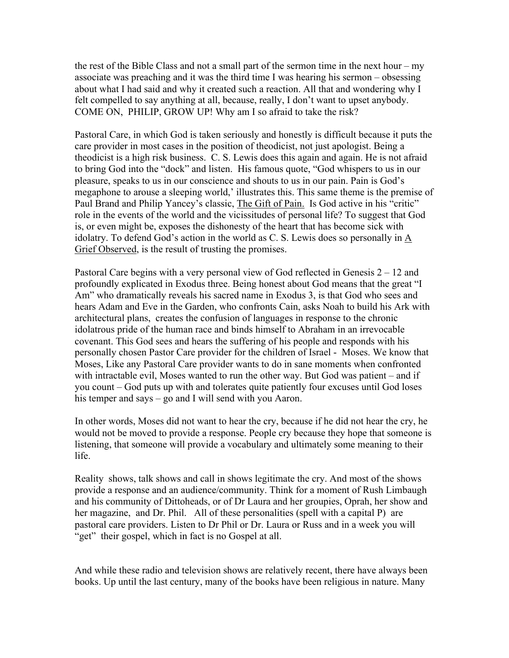the rest of the Bible Class and not a small part of the sermon time in the next hour – my associate was preaching and it was the third time I was hearing his sermon – obsessing about what I had said and why it created such a reaction. All that and wondering why I felt compelled to say anything at all, because, really, I don't want to upset anybody. COME ON, PHILIP, GROW UP! Why am I so afraid to take the risk?

Pastoral Care, in which God is taken seriously and honestly is difficult because it puts the care provider in most cases in the position of theodicist, not just apologist. Being a theodicist is a high risk business. C. S. Lewis does this again and again. He is not afraid to bring God into the "dock" and listen. His famous quote, "God whispers to us in our pleasure, speaks to us in our conscience and shouts to us in our pain. Pain is God's megaphone to arouse a sleeping world,' illustrates this. This same theme is the premise of Paul Brand and Philip Yancey's classic, The Gift of Pain. Is God active in his "critic" role in the events of the world and the vicissitudes of personal life? To suggest that God is, or even might be, exposes the dishonesty of the heart that has become sick with idolatry. To defend God's action in the world as C. S. Lewis does so personally in A Grief Observed, is the result of trusting the promises.

Pastoral Care begins with a very personal view of God reflected in Genesis 2 – 12 and profoundly explicated in Exodus three. Being honest about God means that the great "I Am" who dramatically reveals his sacred name in Exodus 3, is that God who sees and hears Adam and Eve in the Garden, who confronts Cain, asks Noah to build his Ark with architectural plans, creates the confusion of languages in response to the chronic idolatrous pride of the human race and binds himself to Abraham in an irrevocable covenant. This God sees and hears the suffering of his people and responds with his personally chosen Pastor Care provider for the children of Israel - Moses. We know that Moses, Like any Pastoral Care provider wants to do in sane moments when confronted with intractable evil, Moses wanted to run the other way. But God was patient – and if you count – God puts up with and tolerates quite patiently four excuses until God loses his temper and says – go and I will send with you Aaron.

In other words, Moses did not want to hear the cry, because if he did not hear the cry, he would not be moved to provide a response. People cry because they hope that someone is listening, that someone will provide a vocabulary and ultimately some meaning to their life.

Reality shows, talk shows and call in shows legitimate the cry. And most of the shows provide a response and an audience/community. Think for a moment of Rush Limbaugh and his community of Dittoheads, or of Dr Laura and her groupies, Oprah, her show and her magazine, and Dr. Phil. All of these personalities (spell with a capital P) are pastoral care providers. Listen to Dr Phil or Dr. Laura or Russ and in a week you will "get" their gospel, which in fact is no Gospel at all.

And while these radio and television shows are relatively recent, there have always been books. Up until the last century, many of the books have been religious in nature. Many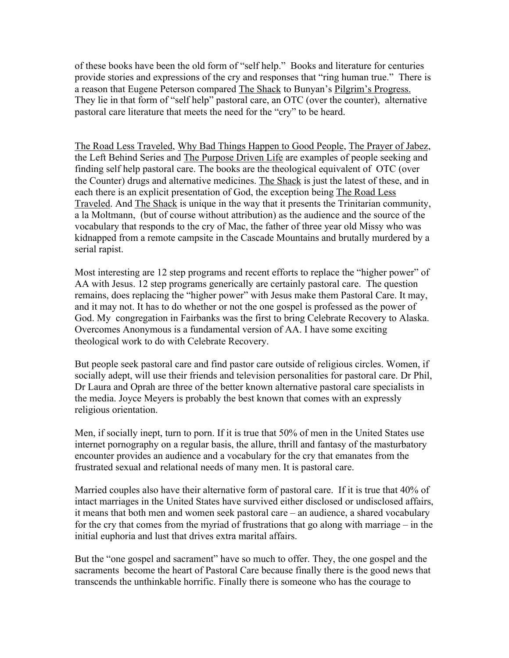of these books have been the old form of "self help." Books and literature for centuries provide stories and expressions of the cry and responses that "ring human true." There is a reason that Eugene Peterson compared The Shack to Bunyan's Pilgrim's Progress. They lie in that form of "self help" pastoral care, an OTC (over the counter), alternative pastoral care literature that meets the need for the "cry" to be heard.

The Road Less Traveled, Why Bad Things Happen to Good People, The Prayer of Jabez, the Left Behind Series and The Purpose Driven Life are examples of people seeking and finding self help pastoral care. The books are the theological equivalent of OTC (over the Counter) drugs and alternative medicines. The Shack is just the latest of these, and in each there is an explicit presentation of God, the exception being The Road Less Traveled. And The Shack is unique in the way that it presents the Trinitarian community, a la Moltmann, (but of course without attribution) as the audience and the source of the vocabulary that responds to the cry of Mac, the father of three year old Missy who was kidnapped from a remote campsite in the Cascade Mountains and brutally murdered by a serial rapist.

Most interesting are 12 step programs and recent efforts to replace the "higher power" of AA with Jesus. 12 step programs generically are certainly pastoral care. The question remains, does replacing the "higher power" with Jesus make them Pastoral Care. It may, and it may not. It has to do whether or not the one gospel is professed as the power of God. My congregation in Fairbanks was the first to bring Celebrate Recovery to Alaska. Overcomes Anonymous is a fundamental version of AA. I have some exciting theological work to do with Celebrate Recovery.

But people seek pastoral care and find pastor care outside of religious circles. Women, if socially adept, will use their friends and television personalities for pastoral care. Dr Phil, Dr Laura and Oprah are three of the better known alternative pastoral care specialists in the media. Joyce Meyers is probably the best known that comes with an expressly religious orientation.

Men, if socially inept, turn to porn. If it is true that 50% of men in the United States use internet pornography on a regular basis, the allure, thrill and fantasy of the masturbatory encounter provides an audience and a vocabulary for the cry that emanates from the frustrated sexual and relational needs of many men. It is pastoral care.

Married couples also have their alternative form of pastoral care. If it is true that 40% of intact marriages in the United States have survived either disclosed or undisclosed affairs, it means that both men and women seek pastoral care – an audience, a shared vocabulary for the cry that comes from the myriad of frustrations that go along with marriage – in the initial euphoria and lust that drives extra marital affairs.

But the "one gospel and sacrament" have so much to offer. They, the one gospel and the sacraments become the heart of Pastoral Care because finally there is the good news that transcends the unthinkable horrific. Finally there is someone who has the courage to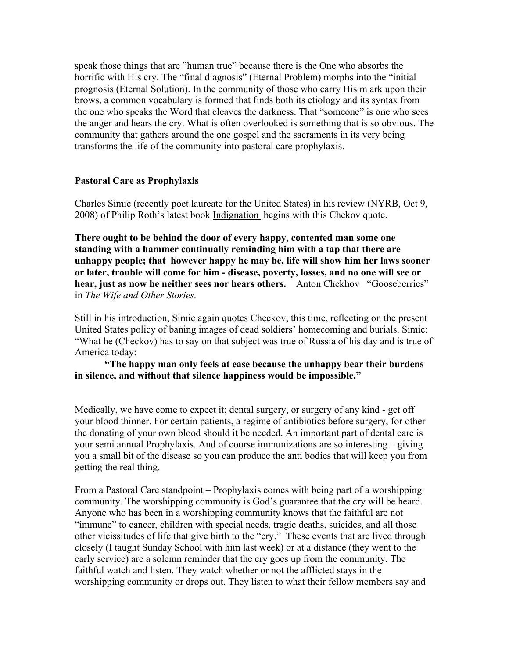speak those things that are "human true" because there is the One who absorbs the horrific with His cry. The "final diagnosis" (Eternal Problem) morphs into the "initial prognosis (Eternal Solution). In the community of those who carry His m ark upon their brows, a common vocabulary is formed that finds both its etiology and its syntax from the one who speaks the Word that cleaves the darkness. That "someone" is one who sees the anger and hears the cry. What is often overlooked is something that is so obvious. The community that gathers around the one gospel and the sacraments in its very being transforms the life of the community into pastoral care prophylaxis.

## **Pastoral Care as Prophylaxis**

Charles Simic (recently poet laureate for the United States) in his review (NYRB, Oct 9, 2008) of Philip Roth's latest book Indignation begins with this Chekov quote.

**There ought to be behind the door of every happy, contented man some one standing with a hammer continually reminding him with a tap that there are unhappy people; that however happy he may be, life will show him her laws sooner or later, trouble will come for him - disease, poverty, losses, and no one will see or hear, just as now he neither sees nor hears others.** Anton Chekhov "Gooseberries" in *The Wife and Other Stories.* 

Still in his introduction, Simic again quotes Checkov, this time, reflecting on the present United States policy of baning images of dead soldiers' homecoming and burials. Simic: "What he (Checkov) has to say on that subject was true of Russia of his day and is true of America today:

**"The happy man only feels at ease because the unhappy bear their burdens in silence, and without that silence happiness would be impossible."**

Medically, we have come to expect it; dental surgery, or surgery of any kind - get off your blood thinner. For certain patients, a regime of antibiotics before surgery, for other the donating of your own blood should it be needed. An important part of dental care is your semi annual Prophylaxis. And of course immunizations are so interesting – giving you a small bit of the disease so you can produce the anti bodies that will keep you from getting the real thing.

From a Pastoral Care standpoint – Prophylaxis comes with being part of a worshipping community. The worshipping community is God's guarantee that the cry will be heard. Anyone who has been in a worshipping community knows that the faithful are not "immune" to cancer, children with special needs, tragic deaths, suicides, and all those other vicissitudes of life that give birth to the "cry." These events that are lived through closely (I taught Sunday School with him last week) or at a distance (they went to the early service) are a solemn reminder that the cry goes up from the community. The faithful watch and listen. They watch whether or not the afflicted stays in the worshipping community or drops out. They listen to what their fellow members say and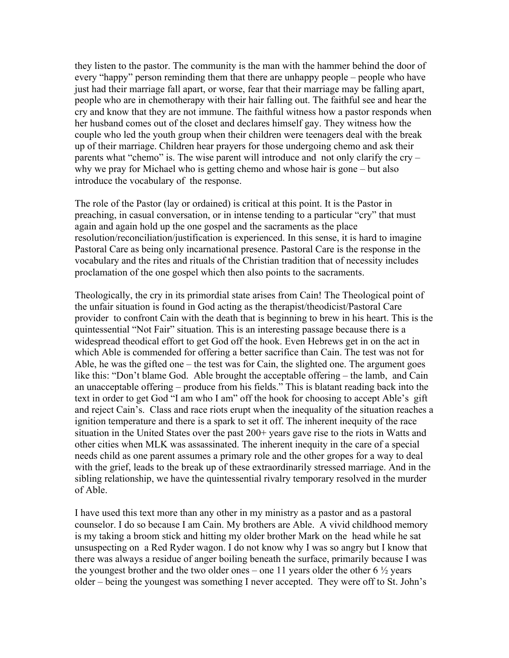they listen to the pastor. The community is the man with the hammer behind the door of every "happy" person reminding them that there are unhappy people – people who have just had their marriage fall apart, or worse, fear that their marriage may be falling apart, people who are in chemotherapy with their hair falling out. The faithful see and hear the cry and know that they are not immune. The faithful witness how a pastor responds when her husband comes out of the closet and declares himself gay. They witness how the couple who led the youth group when their children were teenagers deal with the break up of their marriage. Children hear prayers for those undergoing chemo and ask their parents what "chemo" is. The wise parent will introduce and not only clarify the cry – why we pray for Michael who is getting chemo and whose hair is gone – but also introduce the vocabulary of the response.

The role of the Pastor (lay or ordained) is critical at this point. It is the Pastor in preaching, in casual conversation, or in intense tending to a particular "cry" that must again and again hold up the one gospel and the sacraments as the place resolution/reconciliation/justification is experienced. In this sense, it is hard to imagine Pastoral Care as being only incarnational presence. Pastoral Care is the response in the vocabulary and the rites and rituals of the Christian tradition that of necessity includes proclamation of the one gospel which then also points to the sacraments.

Theologically, the cry in its primordial state arises from Cain! The Theological point of the unfair situation is found in God acting as the therapist/theodicist/Pastoral Care provider to confront Cain with the death that is beginning to brew in his heart. This is the quintessential "Not Fair" situation. This is an interesting passage because there is a widespread theodical effort to get God off the hook. Even Hebrews get in on the act in which Able is commended for offering a better sacrifice than Cain. The test was not for Able, he was the gifted one – the test was for Cain, the slighted one. The argument goes like this: "Don't blame God. Able brought the acceptable offering – the lamb, and Cain an unacceptable offering – produce from his fields." This is blatant reading back into the text in order to get God "I am who I am" off the hook for choosing to accept Able's gift and reject Cain's. Class and race riots erupt when the inequality of the situation reaches a ignition temperature and there is a spark to set it off. The inherent inequity of the race situation in the United States over the past 200+ years gave rise to the riots in Watts and other cities when MLK was assassinated. The inherent inequity in the care of a special needs child as one parent assumes a primary role and the other gropes for a way to deal with the grief, leads to the break up of these extraordinarily stressed marriage. And in the sibling relationship, we have the quintessential rivalry temporary resolved in the murder of Able.

I have used this text more than any other in my ministry as a pastor and as a pastoral counselor. I do so because I am Cain. My brothers are Able. A vivid childhood memory is my taking a broom stick and hitting my older brother Mark on the head while he sat unsuspecting on a Red Ryder wagon. I do not know why I was so angry but I know that there was always a residue of anger boiling beneath the surface, primarily because I was the youngest brother and the two older ones – one 11 years older the other 6  $\frac{1}{2}$  years older – being the youngest was something I never accepted. They were off to St. John's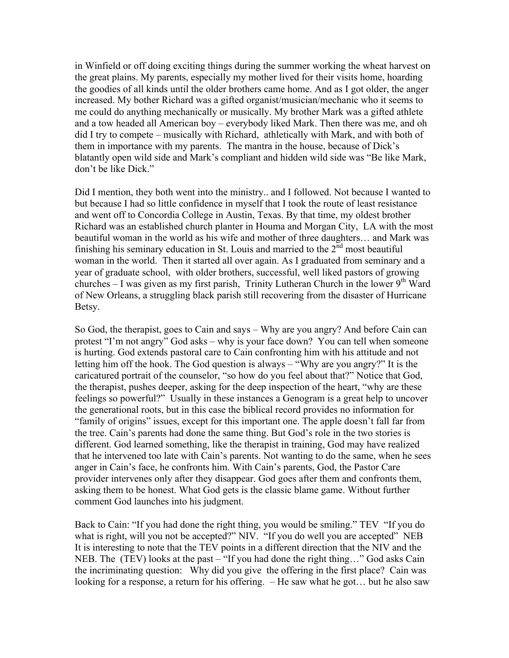in Winfield or off doing exciting things during the summer working the wheat harvest on the great plains. My parents, especially my mother lived for their visits home, hoarding the goodies of all kinds until the older brothers came home. And as I got older, the anger increased. My bother Richard was a gifted organist/musician/mechanic who it seems to me could do anything mechanically or musically. My brother Mark was a gifted athlete and a tow headed all American boy – everybody liked Mark. Then there was me, and oh did I try to compete – musically with Richard, athletically with Mark, and with both of them in importance with my parents. The mantra in the house, because of Dick's blatantly open wild side and Mark's compliant and hidden wild side was "Be like Mark, don't be like Dick."

Did I mention, they both went into the ministry.. and I followed. Not because I wanted to but because I had so little confidence in myself that I took the route of least resistance and went off to Concordia College in Austin, Texas. By that time, my oldest brother Richard was an established church planter in Houma and Morgan City, LA with the most beautiful woman in the world as his wife and mother of three daughters… and Mark was finishing his seminary education in St. Louis and married to the  $2<sup>nd</sup>$  most beautiful woman in the world. Then it started all over again. As I graduated from seminary and a year of graduate school, with older brothers, successful, well liked pastors of growing churches – I was given as my first parish, Trinity Lutheran Church in the lower  $9<sup>th</sup>$  Ward of New Orleans, a struggling black parish still recovering from the disaster of Hurricane Betsy.

So God, the therapist, goes to Cain and says – Why are you angry? And before Cain can protest "I'm not angry" God asks – why is your face down? You can tell when someone is hurting. God extends pastoral care to Cain confronting him with his attitude and not letting him off the hook. The God question is always – "Why are you angry?" It is the caricatured portrait of the counselor, "so how do you feel about that?" Notice that God, the therapist, pushes deeper, asking for the deep inspection of the heart, "why are these feelings so powerful?" Usually in these instances a Genogram is a great help to uncover the generational roots, but in this case the biblical record provides no information for "family of origins" issues, except for this important one. The apple doesn't fall far from the tree. Cain's parents had done the same thing. But God's role in the two stories is different. God learned something, like the therapist in training, God may have realized that he intervened too late with Cain's parents. Not wanting to do the same, when he sees anger in Cain's face, he confronts him. With Cain's parents, God, the Pastor Care provider intervenes only after they disappear. God goes after them and confronts them, asking them to be honest. What God gets is the classic blame game. Without further comment God launches into his judgment.

Back to Cain: "If you had done the right thing, you would be smiling." TEV "If you do what is right, will you not be accepted?" NIV. "If you do well you are accepted" NEB It is interesting to note that the TEV points in a different direction that the NIV and the NEB. The (TEV) looks at the past – "If you had done the right thing..." God asks Cain the incriminating question: Why did you give the offering in the first place? Cain was looking for a response, a return for his offering.  $-$  He saw what he got... but he also saw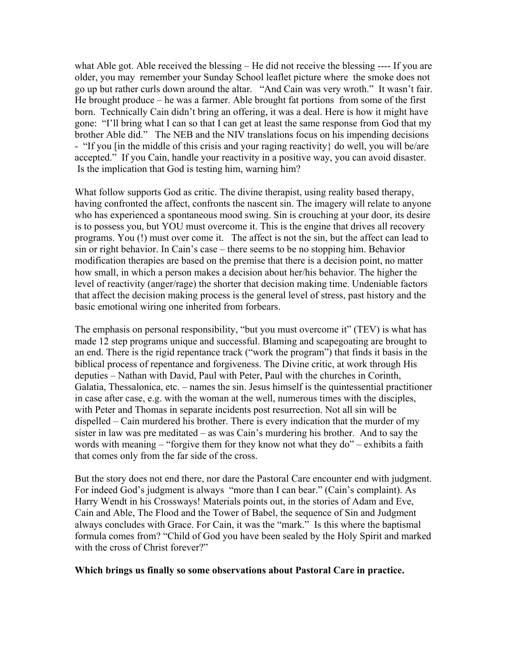what Able got. Able received the blessing – He did not receive the blessing ---- If you are older, you may remember your Sunday School leaflet picture where the smoke does not go up but rather curls down around the altar. "And Cain was very wroth." It wasn't fair. He brought produce – he was a farmer. Able brought fat portions from some of the first born. Technically Cain didn't bring an offering, it was a deal. Here is how it might have gone: "I'll bring what I can so that I can get at least the same response from God that my brother Able did." The NEB and the NIV translations focus on his impending decisions - "If you [in the middle of this crisis and your raging reactivity} do well, you will be/are accepted." If you Cain, handle your reactivity in a positive way, you can avoid disaster. Is the implication that God is testing him, warning him?

What follow supports God as critic. The divine therapist, using reality based therapy, having confronted the affect, confronts the nascent sin. The imagery will relate to anyone who has experienced a spontaneous mood swing. Sin is crouching at your door, its desire is to possess you, but YOU must overcome it. This is the engine that drives all recovery programs. You (!) must over come it. The affect is not the sin, but the affect can lead to sin or right behavior. In Cain's case – there seems to be no stopping him. Behavior modification therapies are based on the premise that there is a decision point, no matter how small, in which a person makes a decision about her/his behavior. The higher the level of reactivity (anger/rage) the shorter that decision making time. Undeniable factors that affect the decision making process is the general level of stress, past history and the basic emotional wiring one inherited from forbears.

The emphasis on personal responsibility, "but you must overcome it" (TEV) is what has made 12 step programs unique and successful. Blaming and scapegoating are brought to an end. There is the rigid repentance track ("work the program") that finds it basis in the biblical process of repentance and forgiveness. The Divine critic, at work through His deputies – Nathan with David, Paul with Peter, Paul with the churches in Corinth, Galatia, Thessalonica, etc. – names the sin. Jesus himself is the quintessential practitioner in case after case, e.g. with the woman at the well, numerous times with the disciples, with Peter and Thomas in separate incidents post resurrection. Not all sin will be dispelled – Cain murdered his brother. There is every indication that the murder of my sister in law was pre meditated – as was Cain's murdering his brother. And to say the words with meaning – "forgive them for they know not what they do" – exhibits a faith that comes only from the far side of the cross.

But the story does not end there, nor dare the Pastoral Care encounter end with judgment. For indeed God's judgment is always "more than I can bear." (Cain's complaint). As Harry Wendt in his Crossways! Materials points out, in the stories of Adam and Eve, Cain and Able, The Flood and the Tower of Babel, the sequence of Sin and Judgment always concludes with Grace. For Cain, it was the "mark." Is this where the baptismal formula comes from? "Child of God you have been sealed by the Holy Spirit and marked with the cross of Christ forever?"

#### **Which brings us finally so some observations about Pastoral Care in practice.**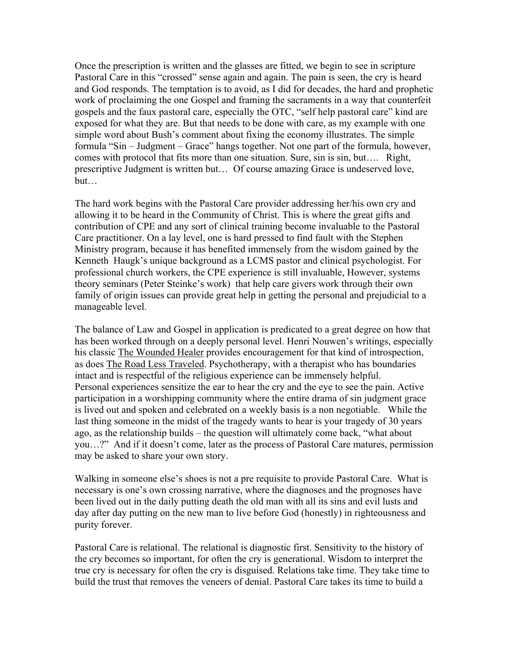Once the prescription is written and the glasses are fitted, we begin to see in scripture Pastoral Care in this "crossed" sense again and again. The pain is seen, the cry is heard and God responds. The temptation is to avoid, as I did for decades, the hard and prophetic work of proclaiming the one Gospel and framing the sacraments in a way that counterfeit gospels and the faux pastoral care, especially the OTC, "self help pastoral care" kind are exposed for what they are. But that needs to be done with care, as my example with one simple word about Bush's comment about fixing the economy illustrates. The simple formula "Sin – Judgment – Grace" hangs together. Not one part of the formula, however, comes with protocol that fits more than one situation. Sure, sin is sin, but…. Right, prescriptive Judgment is written but… Of course amazing Grace is undeserved love, but…

The hard work begins with the Pastoral Care provider addressing her/his own cry and allowing it to be heard in the Community of Christ. This is where the great gifts and contribution of CPE and any sort of clinical training become invaluable to the Pastoral Care practitioner. On a lay level, one is hard pressed to find fault with the Stephen Ministry program, because it has benefited immensely from the wisdom gained by the Kenneth Haugk's unique background as a LCMS pastor and clinical psychologist. For professional church workers, the CPE experience is still invaluable, However, systems theory seminars (Peter Steinke's work) that help care givers work through their own family of origin issues can provide great help in getting the personal and prejudicial to a manageable level.

The balance of Law and Gospel in application is predicated to a great degree on how that has been worked through on a deeply personal level. Henri Nouwen's writings, especially his classic The Wounded Healer provides encouragement for that kind of introspection, as does The Road Less Traveled. Psychotherapy, with a therapist who has boundaries intact and is respectful of the religious experience can be immensely helpful. Personal experiences sensitize the ear to hear the cry and the eye to see the pain. Active participation in a worshipping community where the entire drama of sin judgment grace is lived out and spoken and celebrated on a weekly basis is a non negotiable. While the last thing someone in the midst of the tragedy wants to hear is your tragedy of 30 years ago, as the relationship builds – the question will ultimately come back, "what about you…?" And if it doesn't come, later as the process of Pastoral Care matures, permission may be asked to share your own story.

Walking in someone else's shoes is not a pre requisite to provide Pastoral Care. What is necessary is one's own crossing narrative, where the diagnoses and the prognoses have been lived out in the daily putting death the old man with all its sins and evil lusts and day after day putting on the new man to live before God (honestly) in righteousness and purity forever.

Pastoral Care is relational. The relational is diagnostic first. Sensitivity to the history of the cry becomes so important, for often the cry is generational. Wisdom to interpret the true cry is necessary for often the cry is disguised. Relations take time. They take time to build the trust that removes the veneers of denial. Pastoral Care takes its time to build a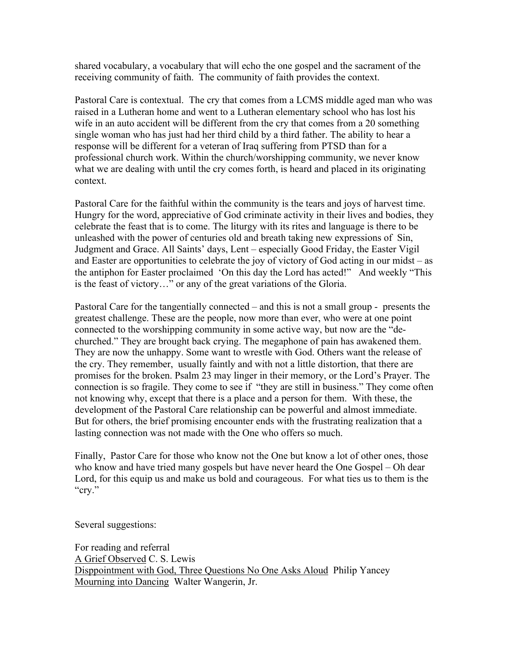shared vocabulary, a vocabulary that will echo the one gospel and the sacrament of the receiving community of faith. The community of faith provides the context.

Pastoral Care is contextual. The cry that comes from a LCMS middle aged man who was raised in a Lutheran home and went to a Lutheran elementary school who has lost his wife in an auto accident will be different from the cry that comes from a 20 something single woman who has just had her third child by a third father. The ability to hear a response will be different for a veteran of Iraq suffering from PTSD than for a professional church work. Within the church/worshipping community, we never know what we are dealing with until the cry comes forth, is heard and placed in its originating context.

Pastoral Care for the faithful within the community is the tears and joys of harvest time. Hungry for the word, appreciative of God criminate activity in their lives and bodies, they celebrate the feast that is to come. The liturgy with its rites and language is there to be unleashed with the power of centuries old and breath taking new expressions of Sin, Judgment and Grace. All Saints' days, Lent – especially Good Friday, the Easter Vigil and Easter are opportunities to celebrate the joy of victory of God acting in our midst – as the antiphon for Easter proclaimed 'On this day the Lord has acted!" And weekly "This is the feast of victory…" or any of the great variations of the Gloria.

Pastoral Care for the tangentially connected – and this is not a small group - presents the greatest challenge. These are the people, now more than ever, who were at one point connected to the worshipping community in some active way, but now are the "dechurched." They are brought back crying. The megaphone of pain has awakened them. They are now the unhappy. Some want to wrestle with God. Others want the release of the cry. They remember, usually faintly and with not a little distortion, that there are promises for the broken. Psalm 23 may linger in their memory, or the Lord's Prayer. The connection is so fragile. They come to see if "they are still in business." They come often not knowing why, except that there is a place and a person for them. With these, the development of the Pastoral Care relationship can be powerful and almost immediate. But for others, the brief promising encounter ends with the frustrating realization that a lasting connection was not made with the One who offers so much.

Finally, Pastor Care for those who know not the One but know a lot of other ones, those who know and have tried many gospels but have never heard the One Gospel – Oh dear Lord, for this equip us and make us bold and courageous. For what ties us to them is the "cry."

Several suggestions:

For reading and referral A Grief Observed C. S. Lewis Disppointment with God, Three Questions No One Asks Aloud Philip Yancey Mourning into Dancing Walter Wangerin, Jr.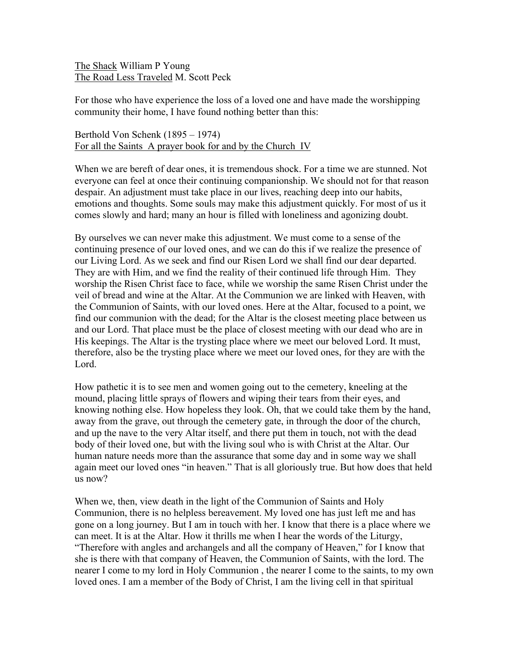The Shack William P Young The Road Less Traveled M. Scott Peck

For those who have experience the loss of a loved one and have made the worshipping community their home, I have found nothing better than this:

Berthold Von Schenk (1895 – 1974) For all the Saints A prayer book for and by the Church IV

When we are bereft of dear ones, it is tremendous shock. For a time we are stunned. Not everyone can feel at once their continuing companionship. We should not for that reason despair. An adjustment must take place in our lives, reaching deep into our habits, emotions and thoughts. Some souls may make this adjustment quickly. For most of us it comes slowly and hard; many an hour is filled with loneliness and agonizing doubt.

By ourselves we can never make this adjustment. We must come to a sense of the continuing presence of our loved ones, and we can do this if we realize the presence of our Living Lord. As we seek and find our Risen Lord we shall find our dear departed. They are with Him, and we find the reality of their continued life through Him. They worship the Risen Christ face to face, while we worship the same Risen Christ under the veil of bread and wine at the Altar. At the Communion we are linked with Heaven, with the Communion of Saints, with our loved ones. Here at the Altar, focused to a point, we find our communion with the dead; for the Altar is the closest meeting place between us and our Lord. That place must be the place of closest meeting with our dead who are in His keepings. The Altar is the trysting place where we meet our beloved Lord. It must, therefore, also be the trysting place where we meet our loved ones, for they are with the Lord.

How pathetic it is to see men and women going out to the cemetery, kneeling at the mound, placing little sprays of flowers and wiping their tears from their eyes, and knowing nothing else. How hopeless they look. Oh, that we could take them by the hand, away from the grave, out through the cemetery gate, in through the door of the church, and up the nave to the very Altar itself, and there put them in touch, not with the dead body of their loved one, but with the living soul who is with Christ at the Altar. Our human nature needs more than the assurance that some day and in some way we shall again meet our loved ones "in heaven." That is all gloriously true. But how does that held us now?

When we, then, view death in the light of the Communion of Saints and Holy Communion, there is no helpless bereavement. My loved one has just left me and has gone on a long journey. But I am in touch with her. I know that there is a place where we can meet. It is at the Altar. How it thrills me when I hear the words of the Liturgy, "Therefore with angles and archangels and all the company of Heaven," for I know that she is there with that company of Heaven, the Communion of Saints, with the lord. The nearer I come to my lord in Holy Communion , the nearer I come to the saints, to my own loved ones. I am a member of the Body of Christ, I am the living cell in that spiritual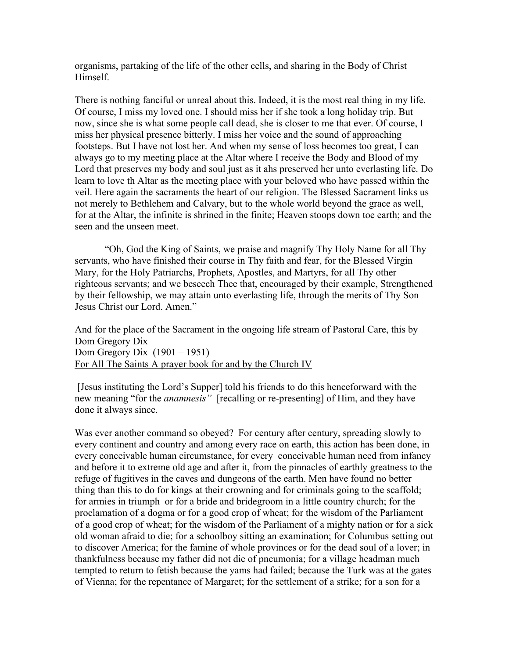organisms, partaking of the life of the other cells, and sharing in the Body of Christ Himself.

There is nothing fanciful or unreal about this. Indeed, it is the most real thing in my life. Of course, I miss my loved one. I should miss her if she took a long holiday trip. But now, since she is what some people call dead, she is closer to me that ever. Of course, I miss her physical presence bitterly. I miss her voice and the sound of approaching footsteps. But I have not lost her. And when my sense of loss becomes too great, I can always go to my meeting place at the Altar where I receive the Body and Blood of my Lord that preserves my body and soul just as it ahs preserved her unto everlasting life. Do learn to love th Altar as the meeting place with your beloved who have passed within the veil. Here again the sacraments the heart of our religion. The Blessed Sacrament links us not merely to Bethlehem and Calvary, but to the whole world beyond the grace as well, for at the Altar, the infinite is shrined in the finite; Heaven stoops down toe earth; and the seen and the unseen meet.

"Oh, God the King of Saints, we praise and magnify Thy Holy Name for all Thy servants, who have finished their course in Thy faith and fear, for the Blessed Virgin Mary, for the Holy Patriarchs, Prophets, Apostles, and Martyrs, for all Thy other righteous servants; and we beseech Thee that, encouraged by their example, Strengthened by their fellowship, we may attain unto everlasting life, through the merits of Thy Son Jesus Christ our Lord. Amen."

And for the place of the Sacrament in the ongoing life stream of Pastoral Care, this by Dom Gregory Dix Dom Gregory Dix (1901 – 1951) For All The Saints A prayer book for and by the Church IV

 [Jesus instituting the Lord's Supper] told his friends to do this henceforward with the new meaning "for the *anamnesis"* [recalling or re-presenting] of Him, and they have done it always since.

Was ever another command so obeyed? For century after century, spreading slowly to every continent and country and among every race on earth, this action has been done, in every conceivable human circumstance, for every conceivable human need from infancy and before it to extreme old age and after it, from the pinnacles of earthly greatness to the refuge of fugitives in the caves and dungeons of the earth. Men have found no better thing than this to do for kings at their crowning and for criminals going to the scaffold; for armies in triumph or for a bride and bridegroom in a little country church; for the proclamation of a dogma or for a good crop of wheat; for the wisdom of the Parliament of a good crop of wheat; for the wisdom of the Parliament of a mighty nation or for a sick old woman afraid to die; for a schoolboy sitting an examination; for Columbus setting out to discover America; for the famine of whole provinces or for the dead soul of a lover; in thankfulness because my father did not die of pneumonia; for a village headman much tempted to return to fetish because the yams had failed; because the Turk was at the gates of Vienna; for the repentance of Margaret; for the settlement of a strike; for a son for a